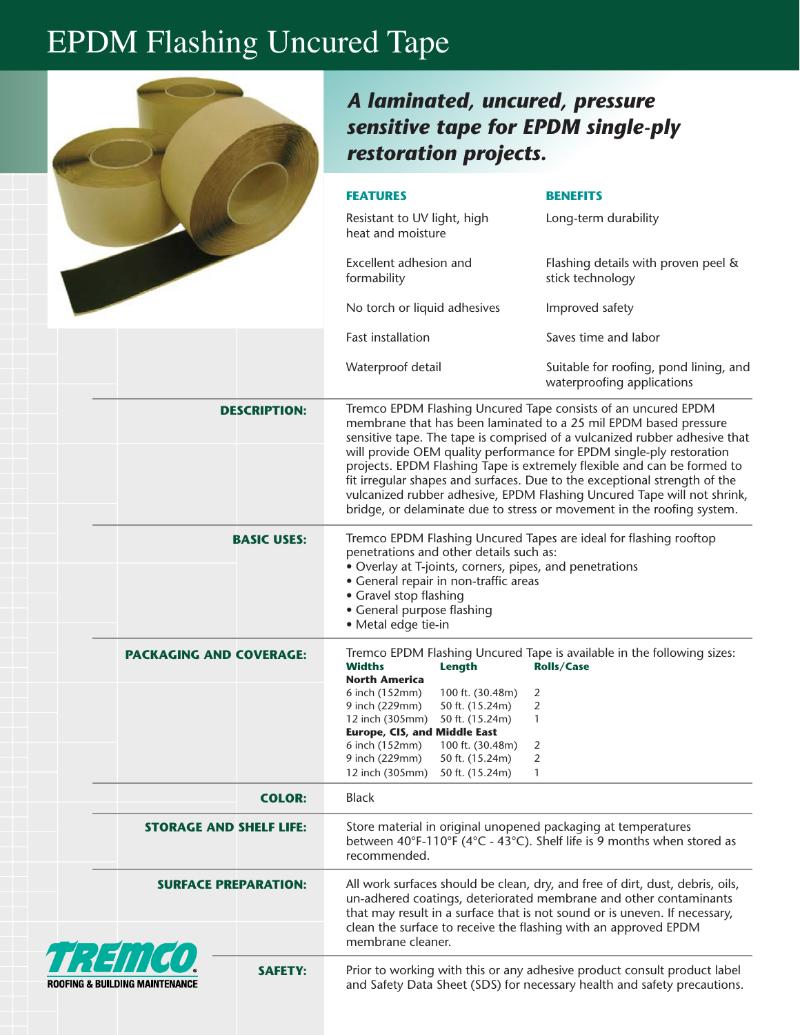## EPDM Flashing Uncured Tape

|                                                               | A laminated, uncured, pressure<br>sensitive tape for EPDM single-ply<br>restoration projects.                                                                                                                                                                                                                            |                                                                                                                                                                                                                                                                                                                                                                                                                                                                                                                                                                                                      |
|---------------------------------------------------------------|--------------------------------------------------------------------------------------------------------------------------------------------------------------------------------------------------------------------------------------------------------------------------------------------------------------------------|------------------------------------------------------------------------------------------------------------------------------------------------------------------------------------------------------------------------------------------------------------------------------------------------------------------------------------------------------------------------------------------------------------------------------------------------------------------------------------------------------------------------------------------------------------------------------------------------------|
|                                                               | <b>FEATURES</b>                                                                                                                                                                                                                                                                                                          | <b>BENEFITS</b>                                                                                                                                                                                                                                                                                                                                                                                                                                                                                                                                                                                      |
|                                                               | Resistant to UV light, high<br>heat and moisture                                                                                                                                                                                                                                                                         | Long-term durability                                                                                                                                                                                                                                                                                                                                                                                                                                                                                                                                                                                 |
|                                                               | Excellent adhesion and<br>formability                                                                                                                                                                                                                                                                                    | Flashing details with proven peel &<br>stick technology                                                                                                                                                                                                                                                                                                                                                                                                                                                                                                                                              |
|                                                               | No torch or liquid adhesives                                                                                                                                                                                                                                                                                             | Improved safety                                                                                                                                                                                                                                                                                                                                                                                                                                                                                                                                                                                      |
|                                                               | <b>Fast installation</b>                                                                                                                                                                                                                                                                                                 | Saves time and labor                                                                                                                                                                                                                                                                                                                                                                                                                                                                                                                                                                                 |
|                                                               | Waterproof detail                                                                                                                                                                                                                                                                                                        | Suitable for roofing, pond lining, and<br>waterproofing applications                                                                                                                                                                                                                                                                                                                                                                                                                                                                                                                                 |
| <b>DESCRIPTION:</b>                                           |                                                                                                                                                                                                                                                                                                                          | Tremco EPDM Flashing Uncured Tape consists of an uncured EPDM<br>membrane that has been laminated to a 25 mil EPDM based pressure<br>sensitive tape. The tape is comprised of a vulcanized rubber adhesive that<br>will provide OEM quality performance for EPDM single-ply restoration<br>projects. EPDM Flashing Tape is extremely flexible and can be formed to<br>fit irregular shapes and surfaces. Due to the exceptional strength of the<br>vulcanized rubber adhesive, EPDM Flashing Uncured Tape will not shrink,<br>bridge, or delaminate due to stress or movement in the roofing system. |
| <b>BASIC USES:</b>                                            | penetrations and other details such as:<br>• Overlay at T-joints, corners, pipes, and penetrations<br>• General repair in non-traffic areas<br>• Gravel stop flashing<br>• General purpose flashing<br>· Metal edge tie-in                                                                                               | Tremco EPDM Flashing Uncured Tapes are ideal for flashing rooftop                                                                                                                                                                                                                                                                                                                                                                                                                                                                                                                                    |
| <b>PACKAGING AND COVERAGE:</b>                                | <b>Widths</b><br>Length<br><b>North America</b><br>6 inch (152mm)<br>100 ft. (30.48m)<br>9 inch (229mm)<br>50 ft. (15.24m)<br>12 inch (305mm)<br>50 ft. (15.24m)<br><b>Europe, CIS, and Middle East</b><br>6 inch (152mm)<br>100 ft. (30.48m)<br>9 inch (229mm)<br>50 ft. (15.24m)<br>12 inch (305mm)<br>50 ft. (15.24m) | Tremco EPDM Flashing Uncured Tape is available in the following sizes:<br><b>Rolls/Case</b><br>2<br>2<br>$\mathbf{1}$<br>2<br>2<br>$\mathbf{1}$                                                                                                                                                                                                                                                                                                                                                                                                                                                      |
| <b>COLOR:</b>                                                 | <b>Black</b>                                                                                                                                                                                                                                                                                                             |                                                                                                                                                                                                                                                                                                                                                                                                                                                                                                                                                                                                      |
| <b>STORAGE AND SHELF LIFE:</b>                                | Store material in original unopened packaging at temperatures<br>recommended.                                                                                                                                                                                                                                            | between 40°F-110°F (4°C - 43°C). Shelf life is 9 months when stored as                                                                                                                                                                                                                                                                                                                                                                                                                                                                                                                               |
| <b>SURFACE PREPARATION:</b>                                   | clean the surface to receive the flashing with an approved EPDM<br>membrane cleaner.                                                                                                                                                                                                                                     | All work surfaces should be clean, dry, and free of dirt, dust, debris, oils,<br>un-adhered coatings, deteriorated membrane and other contaminants<br>that may result in a surface that is not sound or is uneven. If necessary,                                                                                                                                                                                                                                                                                                                                                                     |
| H H H H H<br><b>SAFETY:</b><br>Roofing & Building Maintenance |                                                                                                                                                                                                                                                                                                                          | Prior to working with this or any adhesive product consult product label<br>and Safety Data Sheet (SDS) for necessary health and safety precautions.                                                                                                                                                                                                                                                                                                                                                                                                                                                 |